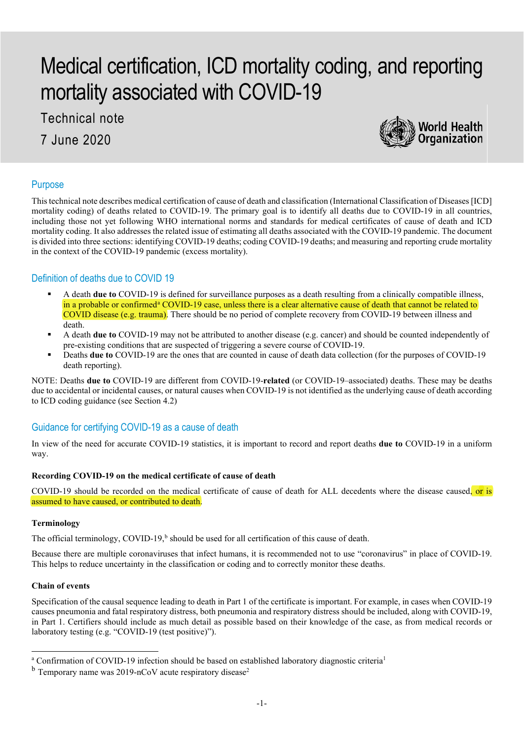# Medical certification, ICD mortality coding, and reporting mortality associated with COVID-19

Technical note

7 June 2020



# Purpose

This technical note describes medical certification of cause of death and classification (International Classification of Diseases [ICD] mortality coding) of deaths related to COVID-19. The primary goal is to identify all deaths due to COVID-19 in all countries, including those not yet following WHO international norms and standards for medical certificates of cause of death and ICD mortality coding. It also addresses the related issue of estimating all deaths associated with the COVID-19 pandemic. The document is divided into three sections: identifying COVID-19 deaths; coding COVID-19 deaths; and measuring and reporting crude mortality in the context of the COVID-19 pandemic (excess mortality).

## Definition of deaths due to COVID 19

- A death **due to** COVID-19 is defined for surveillance purposes as a death resulting from a clinically compatible illness, in [a](#page-0-0) probable or confirmed<sup>a</sup> COVID-19 case, unless there is a clear alternative cause of death that cannot be related to COVID disease (e.g. trauma). There should be no period of complete recovery from COVID-19 between illness and death.
- A death **due to** COVID-19 may not be attributed to another disease (e.g. cancer) and should be counted independently of pre-existing conditions that are suspected of triggering a severe course of COVID-19.
- Deaths **due to** COVID-19 are the ones that are counted in cause of death data collection (for the purposes of COVID-19 death reporting).

NOTE: Deaths **due to** COVID-19 are different from COVID-19-**related** (or COVID-19–associated) deaths. These may be deaths due to accidental or incidental causes, or natural causes when COVID-19 is not identified as the underlying cause of death according to ICD coding guidance (see Section 4.2)

# Guidance for certifying COVID-19 as a cause of death

In view of the need for accurate COVID-19 statistics, it is important to record and report deaths **due to** COVID-19 in a uniform way.

## **Recording COVID-19 on the medical certificate of cause of death**

COVID-19 should be recorded on the medical certificate of cause of death for ALL decedents where the disease caused, or is assumed to have caused, or contributed to death.

## **Terminology**

The official terminology, COVID-19,<sup>[b](#page-0-1)</sup> should be used for all certification of this cause of death.

Because there are multiple coronaviruses that infect humans, it is recommended not to use "coronavirus" in place of COVID-19. This helps to reduce uncertainty in the classification or coding and to correctly monitor these deaths.

## **Chain of events**

Specification of the causal sequence leading to death in Part 1 of the certificate is important. For example, in cases when COVID-19 causes pneumonia and fatal respiratory distress, both pneumonia and respiratory distress should be included, along with COVID-19, in Part 1. Certifiers should include as much detail as possible based on their knowledge of the case, as from medical records or laboratory testing (e.g. "COVID-19 (test positive)").

<span id="page-0-0"></span><sup>&</sup>lt;sup>a</sup> Confirmation of COVID-19 infection should be based on established laboratory diagnostic criteria<sup>1</sup>

<span id="page-0-1"></span> $<sup>b</sup>$  Temporary name was 2019-nCoV acute respiratory disease<sup>2</sup></sup>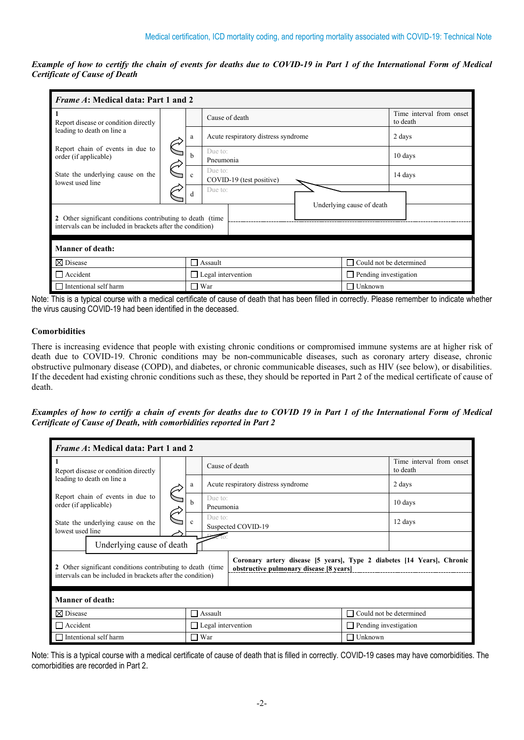*Example of how to certify the chain of events for deaths due to COVID-19 in Part 1 of the International Form of Medical Certificate of Cause of Death*

| <i>Frame A</i> : Medical data: Part 1 and 2                              |  |         |                                     |                                |                                      |  |  |  |  |
|--------------------------------------------------------------------------|--|---------|-------------------------------------|--------------------------------|--------------------------------------|--|--|--|--|
| -1<br>Report disease or condition directly<br>leading to death on line a |  |         | Cause of death                      |                                | Time interval from onset<br>to death |  |  |  |  |
|                                                                          |  | a       | Acute respiratory distress syndrome |                                | 2 days                               |  |  |  |  |
| Report chain of events in due to<br>order (if applicable)                |  | h       | Due to:<br>Pneumonia                |                                | 10 days                              |  |  |  |  |
| State the underlying cause on the<br>lowest used line                    |  | c       | Due to:<br>COVID-19 (test positive) |                                | 14 days                              |  |  |  |  |
|                                                                          |  | d       | Due to:                             |                                |                                      |  |  |  |  |
| 2 Other significant conditions contributing to death (time               |  |         |                                     | Underlying cause of death      |                                      |  |  |  |  |
| intervals can be included in brackets after the condition)               |  |         |                                     |                                |                                      |  |  |  |  |
| <b>Manner of death:</b>                                                  |  |         |                                     |                                |                                      |  |  |  |  |
| $\boxtimes$ Disease                                                      |  | П       | Assault                             | $\Box$ Could not be determined |                                      |  |  |  |  |
| $\Box$ Accident                                                          |  | $\perp$ | Legal intervention                  | $\Box$ Pending investigation   |                                      |  |  |  |  |
| Intentional self harm<br>$\Box$                                          |  | тŨ,     | War                                 | $\Box$ Unknown                 |                                      |  |  |  |  |

Note: This is a typical course with a medical certificate of cause of death that has been filled in correctly. Please remember to indicate whether the virus causing COVID-19 had been identified in the deceased.

## **Comorbidities**

There is increasing evidence that people with existing chronic conditions or compromised immune systems are at higher risk of death due to COVID-19. Chronic conditions may be non-communicable diseases, such as coronary artery disease, chronic obstructive pulmonary disease (COPD), and diabetes, or chronic communicable diseases, such as HIV (see below), or disabilities. If the decedent had existing chronic conditions such as these, they should be reported in Part 2 of the medical certificate of cause of death.

*Examples of how to certify a chain of events for deaths due to COVID 19 in Part 1 of the International Form of Medical Certificate of Cause of Death, with comorbidities reported in Part 2*

| <i>Frame A</i> : Medical data: Part 1 and 2                 |  |              |                                                                                                                   |                |                                      |  |  |  |  |
|-------------------------------------------------------------|--|--------------|-------------------------------------------------------------------------------------------------------------------|----------------|--------------------------------------|--|--|--|--|
| -1<br>Report disease or condition directly                  |  |              | Cause of death                                                                                                    |                | Time interval from onset<br>to death |  |  |  |  |
| leading to death on line a                                  |  | a            | Acute respiratory distress syndrome                                                                               |                | 2 days                               |  |  |  |  |
| Report chain of events in due to<br>order (if applicable)   |  | h            | Due to:<br>Pneumonia                                                                                              |                | 10 days                              |  |  |  |  |
| State the underlying cause on the<br>lowest used line       |  | c            | Due to:<br>Suspected COVID-19                                                                                     | 12 days        |                                      |  |  |  |  |
|                                                             |  |              |                                                                                                                   |                |                                      |  |  |  |  |
| Underlying cause of death                                   |  |              |                                                                                                                   |                |                                      |  |  |  |  |
| 2 Other significant conditions contributing to death (time) |  |              | Coronary artery disease [5 years], Type 2 diabetes [14 Years], Chronic<br>obstructive pulmonary disease [8 years] |                |                                      |  |  |  |  |
| intervals can be included in brackets after the condition)  |  |              |                                                                                                                   |                |                                      |  |  |  |  |
| Manner of death:                                            |  |              |                                                                                                                   |                |                                      |  |  |  |  |
| $\boxtimes$ Disease                                         |  | $\mathbf{1}$ | Assault                                                                                                           |                | Could not be determined              |  |  |  |  |
| $\Box$ Accident                                             |  |              | $\Box$ Legal intervention                                                                                         |                | $\Box$ Pending investigation         |  |  |  |  |
| $\Box$ Intentional self harm                                |  | П            | War                                                                                                               | $\Box$ Unknown |                                      |  |  |  |  |

Note: This is a typical course with a medical certificate of cause of death that is filled in correctly. COVID-19 cases may have comorbidities. The comorbidities are recorded in Part 2.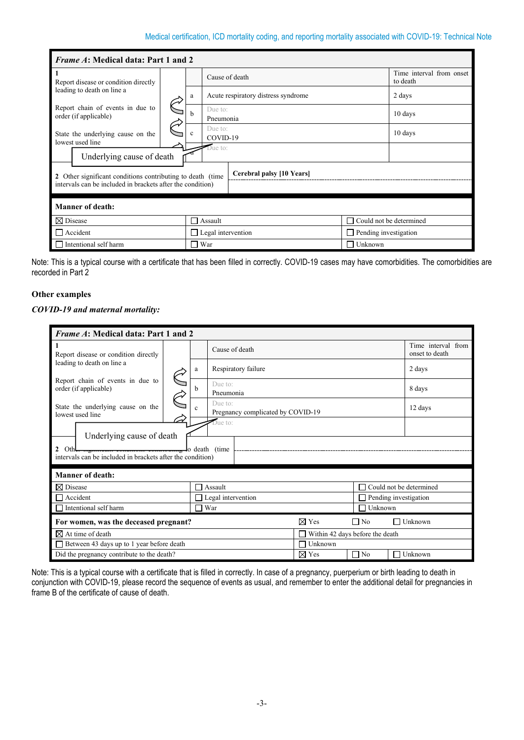| <i>Frame A</i> : Medical data: Part 1 and 2                                 |  |   |                                     |                       |                                      |  |  |  |  |
|-----------------------------------------------------------------------------|--|---|-------------------------------------|-----------------------|--------------------------------------|--|--|--|--|
| $\mathbf{1}$<br>Report disease or condition directly                        |  |   | Cause of death                      |                       | Time interval from onset<br>to death |  |  |  |  |
| leading to death on line a                                                  |  | a | Acute respiratory distress syndrome |                       | 2 days                               |  |  |  |  |
| Report chain of events in due to<br>order (if applicable)                   |  | h | Due to:<br>Pneumonia                |                       | 10 days                              |  |  |  |  |
| State the underlying cause on the<br>lowest used line                       |  | c | Due to:<br>COVID-19                 |                       | 10 days                              |  |  |  |  |
| Underlying cause of death                                                   |  |   | Due to:                             |                       |                                      |  |  |  |  |
| 2 Other significant conditions contributing to death (time)                 |  |   | Cerebral palsy [10 Years]           |                       |                                      |  |  |  |  |
| intervals can be included in brackets after the condition)                  |  |   |                                     |                       |                                      |  |  |  |  |
| Manner of death:                                                            |  |   |                                     |                       |                                      |  |  |  |  |
| $\boxtimes$ Disease<br>Could not be determined<br>Assault<br>$\blacksquare$ |  |   |                                     |                       |                                      |  |  |  |  |
| Accident                                                                    |  |   | $\Box$ Legal intervention           | Pending investigation |                                      |  |  |  |  |
| Intentional self harm                                                       |  |   | War                                 | Unknown               |                                      |  |  |  |  |

Note: This is a typical course with a certificate that has been filled in correctly. COVID-19 cases may have comorbidities. The comorbidities are recorded in Part 2

## **Other examples**

## *COVID-19 and maternal mortality:*

| <i>Frame A</i> : Medical data: Part 1 and 2                                      |  |                |                                              |                 |                                 |                                      |  |
|----------------------------------------------------------------------------------|--|----------------|----------------------------------------------|-----------------|---------------------------------|--------------------------------------|--|
| Report disease or condition directly                                             |  |                | Cause of death                               |                 |                                 | Time interval from<br>onset to death |  |
| leading to death on line a                                                       |  | a              | Respiratory failure                          |                 |                                 | 2 days                               |  |
| Report chain of events in due to<br>order (if applicable)                        |  | b              | Due to:<br>Pneumonia                         |                 |                                 | 8 days                               |  |
| State the underlying cause on the<br>lowest used line                            |  | $\mathbf{c}$   | Due to:<br>Pregnancy complicated by COVID-19 |                 |                                 | 12 days                              |  |
| Underlying cause of death                                                        |  |                | Due to:                                      |                 |                                 |                                      |  |
| 2 Oth<br>intervals can be included in brackets after the condition)              |  |                |                                              |                 |                                 |                                      |  |
| <b>Manner of death:</b>                                                          |  |                |                                              |                 |                                 |                                      |  |
| $\boxtimes$ Disease                                                              |  |                | $\exists$ Assault                            |                 |                                 | Could not be determined              |  |
| $\Box$ Accident                                                                  |  |                | $\Box$ Legal intervention                    |                 | Pending investigation           |                                      |  |
| Intentional self harm                                                            |  | $\blacksquare$ | War                                          |                 | Unknown                         |                                      |  |
| $\boxtimes$ Yes<br>For women, was the deceased pregnant?<br>$\Box$ No<br>Unknown |  |                |                                              |                 |                                 |                                      |  |
| $\boxtimes$ At time of death                                                     |  |                |                                              |                 | Within 42 days before the death |                                      |  |
| $\Box$ Between 43 days up to 1 year before death<br>Unknown                      |  |                |                                              |                 |                                 |                                      |  |
| Did the pregnancy contribute to the death?                                       |  |                |                                              | $\boxtimes$ Yes | $\Box$ No<br>$\blacksquare$     | Unknown                              |  |

Note: This is a typical course with a certificate that is filled in correctly. In case of a pregnancy, puerperium or birth leading to death in conjunction with COVID-19, please record the sequence of events as usual, and remember to enter the additional detail for pregnancies in frame B of the certificate of cause of death.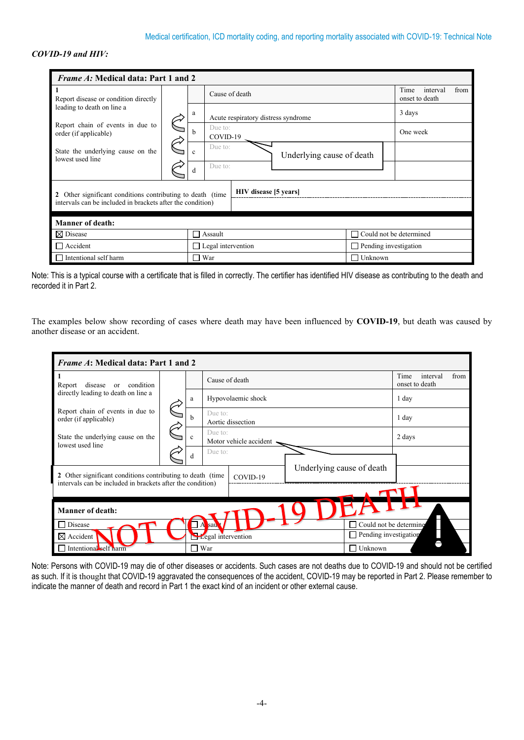# *COVID-19 and HIV:*

| <i>Frame A:</i> Medical data: Part 1 and 2                 |  |    |                                                           |                                     |  |                           |                         |  |                        |          |      |
|------------------------------------------------------------|--|----|-----------------------------------------------------------|-------------------------------------|--|---------------------------|-------------------------|--|------------------------|----------|------|
| Report disease or condition directly                       |  |    | Cause of death                                            |                                     |  |                           |                         |  | Time<br>onset to death | interval | from |
| leading to death on line a                                 |  | a  |                                                           | Acute respiratory distress syndrome |  |                           |                         |  | 3 days                 |          |      |
| Report chain of events in due to<br>order (if applicable)  |  | h  | Due to:<br>COVID-19                                       |                                     |  |                           |                         |  | One week               |          |      |
| State the underlying cause on the<br>lowest used line      |  | c. | Due to:                                                   |                                     |  | Underlying cause of death |                         |  |                        |          |      |
|                                                            |  | d  | Due to:                                                   |                                     |  |                           |                         |  |                        |          |      |
| 2 Other significant conditions contributing to death (time |  |    |                                                           | HIV disease [5 years]               |  |                           |                         |  |                        |          |      |
| intervals can be included in brackets after the condition) |  |    |                                                           |                                     |  |                           |                         |  |                        |          |      |
| <b>Manner of death:</b>                                    |  |    |                                                           |                                     |  |                           |                         |  |                        |          |      |
| ⊠ Disease                                                  |  |    | Assault                                                   |                                     |  |                           | Could not be determined |  |                        |          |      |
| $\Box$ Accident                                            |  |    | $\Box$ Legal intervention<br>$\Box$ Pending investigation |                                     |  |                           |                         |  |                        |          |      |
| Intentional self harm                                      |  |    | War                                                       |                                     |  |                           | Unknown                 |  |                        |          |      |

|                        | Note: This is a typical course with a certificate that is filled in correctly. The certifier has identified HIV disease as contributing to the death and |
|------------------------|----------------------------------------------------------------------------------------------------------------------------------------------------------|
| recorded it in Part 2. |                                                                                                                                                          |

The examples below show recording of cases where death may have been influenced by **COVID-19**, but death was caused by another disease or an accident.

| <i>Frame A</i> : Medical data: Part 1 and 2                                                                               |  |              |                                           |                           |                                            |  |  |  |  |  |
|---------------------------------------------------------------------------------------------------------------------------|--|--------------|-------------------------------------------|---------------------------|--------------------------------------------|--|--|--|--|--|
| -1<br>condition<br>disease<br>Report<br><sub>or</sub>                                                                     |  |              | Cause of death                            |                           | Time<br>from<br>interval<br>onset to death |  |  |  |  |  |
| directly leading to death on line a                                                                                       |  | a            | Hypovolaemic shock                        |                           | 1 day                                      |  |  |  |  |  |
| Report chain of events in due to<br>order (if applicable)                                                                 |  | h            | Due to:<br>Aortic dissection              |                           | 1 day                                      |  |  |  |  |  |
| State the underlying cause on the<br>lowest used line                                                                     |  | $\mathbf{c}$ | Due to:<br>Motor vehicle accident <a></a> |                           | 2 days                                     |  |  |  |  |  |
|                                                                                                                           |  | d            | Due to:                                   |                           |                                            |  |  |  |  |  |
| 2 Other significant conditions contributing to death (time)<br>intervals can be included in brackets after the condition) |  |              | COVID-19                                  | Underlying cause of death |                                            |  |  |  |  |  |
|                                                                                                                           |  |              |                                           |                           |                                            |  |  |  |  |  |
| <b>Manner of death:</b>                                                                                                   |  |              |                                           |                           |                                            |  |  |  |  |  |
| Disease                                                                                                                   |  |              | sau                                       |                           | Could not be determine                     |  |  |  |  |  |
| $\boxtimes$ Accident                                                                                                      |  |              | Legal intervention                        | Pending investigation     |                                            |  |  |  |  |  |
| Intentional self harm                                                                                                     |  | П            | War                                       | Unknown                   |                                            |  |  |  |  |  |

Note: Persons with COVID-19 may die of other diseases or accidents. Such cases are not deaths due to COVID-19 and should not be certified as such. If it is thought that COVID-19 aggravated the consequences of the accident, COVID-19 may be reported in Part 2. Please remember to indicate the manner of death and record in Part 1 the exact kind of an incident or other external cause.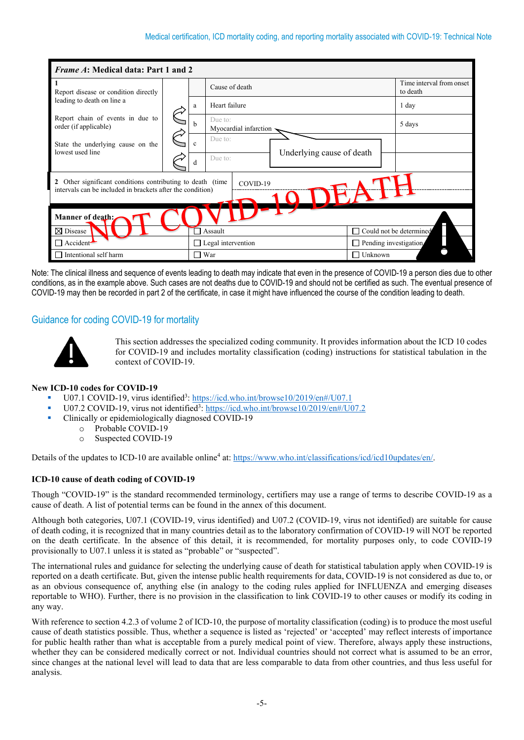| <i>Frame A</i> : Medical data: Part 1 and 2                                                                              |  |                          |                                  |                                      |  |  |  |  |  |
|--------------------------------------------------------------------------------------------------------------------------|--|--------------------------|----------------------------------|--------------------------------------|--|--|--|--|--|
| Report disease or condition directly                                                                                     |  |                          | Cause of death                   | Time interval from onset<br>to death |  |  |  |  |  |
| leading to death on line a                                                                                               |  | a                        | Heart failure                    | 1 day                                |  |  |  |  |  |
| Report chain of events in due to<br>order (if applicable)                                                                |  | b.                       | Due to:<br>Myocardial infarction | 5 days                               |  |  |  |  |  |
| State the underlying cause on the<br>lowest used line                                                                    |  |                          | $\mathbf{c}$                     | Due to:<br>Underlying cause of death |  |  |  |  |  |
|                                                                                                                          |  | d                        | Due to:                          |                                      |  |  |  |  |  |
| 2 Other significant conditions contributing to death (time<br>intervals can be included in brackets after the condition) |  |                          | COVID-19                         |                                      |  |  |  |  |  |
|                                                                                                                          |  |                          |                                  |                                      |  |  |  |  |  |
| Manner of death:                                                                                                         |  |                          |                                  |                                      |  |  |  |  |  |
| $\boxtimes$ Disease                                                                                                      |  |                          | Assault                          | Could not be determined              |  |  |  |  |  |
| Accident <sup>-</sup>                                                                                                    |  |                          | $\Box$ Legal intervention        | Pending investigation                |  |  |  |  |  |
| Intentional self harm                                                                                                    |  | $\overline{\phantom{a}}$ | Unknown<br>War                   |                                      |  |  |  |  |  |

Note: The clinical illness and sequence of events leading to death may indicate that even in the presence of COVID-19 a person dies due to other conditions, as in the example above. Such cases are not deaths due to COVID-19 and should not be certified as such. The eventual presence of COVID-19 may then be recorded in part 2 of the certificate, in case it might have influenced the course of the condition leading to death.

# Guidance for coding COVID-19 for mortality



This section addresses the specialized coding community. It provides information about the ICD 10 codes for COVID-19 and includes mortality classification (coding) instructions for statistical tabulation in the context of COVID-19.

## **New ICD-10 codes for COVID-19**

- U07.1 COVID-19, virus identified<sup>3</sup>[: https://icd.who.int/browse10/2019/en#/U07.1](https://icd.who.int/browse10/2019/en#/U07.1)
- U07.2 COVID-19, virus not identified<sup>3</sup>:<https://icd.who.int/browse10/2019/en#/U07.2>
- Clinically or epidemiologically diagnosed COVID-19
	- o Probable COVID-19<br>
	o Suspected COVID-19
		- Suspected COVID-19

Details of the updates to ICD-10 are available online<sup>4</sup> at: https://www.who.int/classifications/icd/icd10updates/en/.

## **ICD-10 cause of death coding of COVID-19**

Though "COVID-19" is the standard recommended terminology, certifiers may use a range of terms to describe COVID-19 as a cause of death. A list of potential terms can be found in the annex of this document.

Although both categories, U07.1 (COVID-19, virus identified) and U07.2 (COVID-19, virus not identified) are suitable for cause of death coding, it is recognized that in many countries detail as to the laboratory confirmation of COVID-19 will NOT be reported on the death certificate. In the absence of this detail, it is recommended, for mortality purposes only, to code COVID-19 provisionally to U07.1 unless it is stated as "probable" or "suspected".

The international rules and guidance for selecting the underlying cause of death for statistical tabulation apply when COVID-19 is reported on a death certificate. But, given the intense public health requirements for data, COVID-19 is not considered as due to, or as an obvious consequence of, anything else (in analogy to the coding rules applied for INFLUENZA and emerging diseases reportable to WHO). Further, there is no provision in the classification to link COVID-19 to other causes or modify its coding in any way.

With reference to section 4.2.3 of volume 2 of ICD-10, the purpose of mortality classification (coding) is to produce the most useful cause of death statistics possible. Thus, whether a sequence is listed as 'rejected' or 'accepted' may reflect interests of importance for public health rather than what is acceptable from a purely medical point of view. Therefore, always apply these instructions, whether they can be considered medically correct or not. Individual countries should not correct what is assumed to be an error, since changes at the national level will lead to data that are less comparable to data from other countries, and thus less useful for analysis.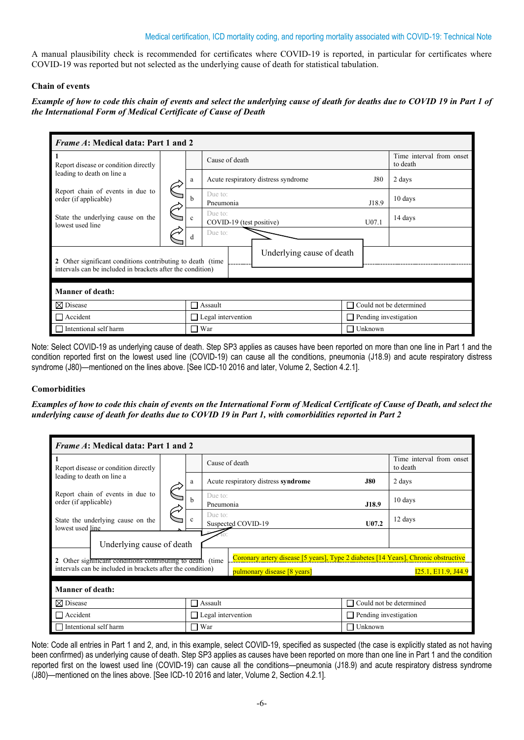## Medical certification, ICD mortality coding, and reporting mortality associated with COVID-19: Technical Note

A manual plausibility check is recommended for certificates where COVID-19 is reported, in particular for certificates where COVID-19 was reported but not selected as the underlying cause of death for statistical tabulation.

## **Chain of events**

*Example of how to code this chain of events and select the underlying cause of death for deaths due to COVID 19 in Part 1 of the International Form of Medical Certificate of Cause of Death*

| <i>Frame A</i> : Medical data: Part 1 and 2                |  |              |                                     |                              |                |                                      |  |  |  |  |
|------------------------------------------------------------|--|--------------|-------------------------------------|------------------------------|----------------|--------------------------------------|--|--|--|--|
| -1<br>Report disease or condition directly                 |  |              | Cause of death                      |                              |                | Time interval from onset<br>to death |  |  |  |  |
| leading to death on line a                                 |  | a            | Acute respiratory distress syndrome |                              | <b>J80</b>     | 2 days                               |  |  |  |  |
| Report chain of events in due to<br>order (if applicable)  |  | h            | Due to:<br>Pneumonia                |                              | J18.9          | 10 days                              |  |  |  |  |
| State the underlying cause on the<br>lowest used line      |  | $\mathbf{c}$ | Due to:<br>COVID-19 (test positive) |                              | U07.1          | 14 days                              |  |  |  |  |
|                                                            |  | d            | Due to:                             |                              |                |                                      |  |  |  |  |
| 2 Other significant conditions contributing to death (time |  |              |                                     | Underlying cause of death    |                |                                      |  |  |  |  |
| intervals can be included in brackets after the condition) |  |              |                                     |                              |                |                                      |  |  |  |  |
| Manner of death:                                           |  |              |                                     |                              |                |                                      |  |  |  |  |
| $\boxtimes$ Disease                                        |  | П            | Assault                             |                              | П              | Could not be determined              |  |  |  |  |
| $\Box$ Accident                                            |  |              | $\Box$ Legal intervention           | $\Box$ Pending investigation |                |                                      |  |  |  |  |
| $\Box$ Intentional self harm                               |  |              | □ War                               |                              | $\Box$ Unknown |                                      |  |  |  |  |

Note: Select COVID-19 as underlying cause of death. Step SP3 applies as causes have been reported on more than one line in Part 1 and the condition reported first on the lowest used line (COVID-19) can cause all the conditions, pneumonia (J18.9) and acute respiratory distress syndrome (J80)—mentioned on the lines above. [See ICD-10 2016 and later, Volume 2, Section 4.2.1].

## **Comorbidities**

*Examples of how to code this chain of events on the International Form of Medical Certificate of Cause of Death, and select the underlying cause of death for deaths due to COVID 19 in Part 1, with comorbidities reported in Part 2*

| <i>Frame A</i> : Medical data: Part 1 and 2                   |  |                     |                                                                                    |                |                                      |  |  |  |  |
|---------------------------------------------------------------|--|---------------------|------------------------------------------------------------------------------------|----------------|--------------------------------------|--|--|--|--|
| $\mathbf{1}$<br>Report disease or condition directly          |  |                     | Cause of death                                                                     |                | Time interval from onset<br>to death |  |  |  |  |
| leading to death on line a                                    |  | a                   | Acute respiratory distress syndrome                                                | <b>J80</b>     | 2 days                               |  |  |  |  |
| Report chain of events in due to<br>order (if applicable)     |  | h                   | Due to:<br>Pneumonia                                                               | J18.9          | 10 days                              |  |  |  |  |
| State the underlying cause on the<br>lowest used line         |  | $\mathbf{c}$        | Due to:<br>Suspected COVID-19                                                      | $U$ 07.2       | 12 days                              |  |  |  |  |
| Underlying cause of death                                     |  |                     |                                                                                    |                |                                      |  |  |  |  |
| Other significant conditions contributing to death (time<br>2 |  |                     | Coronary artery disease [5 years], Type 2 diabetes [14 Years], Chronic obstructive |                |                                      |  |  |  |  |
| intervals can be included in brackets after the condition)    |  |                     | pulmonary disease [8 years]                                                        |                | I25.1, E11.9, J44.9                  |  |  |  |  |
| <b>Manner of death:</b>                                       |  |                     |                                                                                    |                |                                      |  |  |  |  |
| $\boxtimes$ Disease                                           |  |                     | $\Box$ Assault                                                                     |                | $\Box$ Could not be determined       |  |  |  |  |
| $\Box$ Accident                                               |  |                     | $\Box$ Legal intervention                                                          |                | $\Box$ Pending investigation         |  |  |  |  |
| Intentional self harm                                         |  | War<br>$\mathsf{L}$ |                                                                                    | Unknown<br>- 1 |                                      |  |  |  |  |

Note: Code all entries in Part 1 and 2, and, in this example, select COVID-19, specified as suspected (the case is explicitly stated as not having been confirmed) as underlying cause of death. Step SP3 applies as causes have been reported on more than one line in Part 1 and the condition reported first on the lowest used line (COVID-19) can cause all the conditions—pneumonia (J18.9) and acute respiratory distress syndrome (J80)—mentioned on the lines above. [See ICD-10 2016 and later, Volume 2, Section 4.2.1].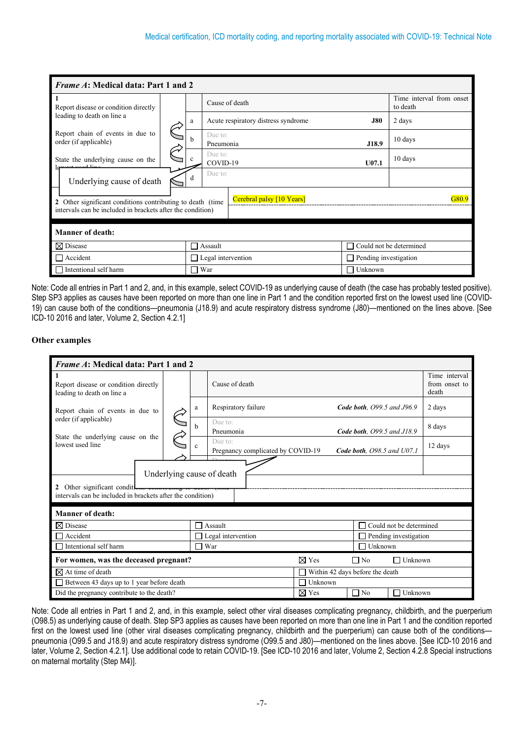| <i>Frame A</i> : Medical data: Part 1 and 2                |  |     |                                     |                           |                              |                                      |  |  |  |
|------------------------------------------------------------|--|-----|-------------------------------------|---------------------------|------------------------------|--------------------------------------|--|--|--|
| Report disease or condition directly                       |  |     | Cause of death                      |                           |                              | Time interval from onset<br>to death |  |  |  |
| leading to death on line a                                 |  | a   | Acute respiratory distress syndrome |                           | <b>J80</b>                   | 2 days                               |  |  |  |
| Report chain of events in due to<br>order (if applicable)  |  | h   | Due to:<br>Pneumonia                |                           | J18.9                        | 10 days                              |  |  |  |
| State the underlying cause on the                          |  |     | Due to:<br>COVID-19                 |                           | U07.1                        | 10 days                              |  |  |  |
| Underlying cause of death                                  |  | d   | Due to:                             |                           |                              |                                      |  |  |  |
| 2 Other significant conditions contributing to death (time |  |     |                                     | Cerebral palsy [10 Years] |                              | ዝጸበ ዓ                                |  |  |  |
| intervals can be included in brackets after the condition) |  |     |                                     |                           |                              |                                      |  |  |  |
| <b>Manner of death:</b>                                    |  |     |                                     |                           |                              |                                      |  |  |  |
| $\boxtimes$ Disease                                        |  |     | Assault                             |                           | П                            | Could not be determined              |  |  |  |
| Accident<br>$\Box$ Legal intervention                      |  |     |                                     |                           | $\Box$ Pending investigation |                                      |  |  |  |
| Intentional self harm                                      |  | - 1 | War                                 |                           | Unknown<br>П                 |                                      |  |  |  |

Note: Code all entries in Part 1 and 2, and, in this example, select COVID-19 as underlying cause of death (the case has probably tested positive). Step SP3 applies as causes have been reported on more than one line in Part 1 and the condition reported first on the lowest used line (COVID-19) can cause both of the conditions—pneumonia (J18.9) and acute respiratory distress syndrome (J80)—mentioned on the lines above. [See ICD-10 2016 and later, Volume 2, Section 4.2.1]

## **Other examples**

| Frame A: Medical data: Part 1 and 2                                                     |                           |                |                                                                                |                                         |  |  |  |  |  |
|-----------------------------------------------------------------------------------------|---------------------------|----------------|--------------------------------------------------------------------------------|-----------------------------------------|--|--|--|--|--|
| Report disease or condition directly<br>leading to death on line a                      |                           |                | Cause of death                                                                 | Time interval<br>from onset to<br>death |  |  |  |  |  |
| Report chain of events in due to                                                        |                           | a              | Respiratory failure<br><b>Code both.</b> O99.5 and J96.9                       | 2 days                                  |  |  |  |  |  |
| order (if applicable)                                                                   |                           | h              | Due to:<br>Pneumonia<br>Code both, O99.5 and J18.9                             | 8 days                                  |  |  |  |  |  |
| State the underlying cause on the<br>lowest used line                                   |                           | $\mathbf{c}$   | Due to:<br>Pregnancy complicated by COVID-19<br>Code both, $O98.5$ and $U07.1$ | 12 days                                 |  |  |  |  |  |
|                                                                                         | Underlying cause of death |                |                                                                                |                                         |  |  |  |  |  |
| 2 Other significant conditions concretently to deal.                                    |                           |                |                                                                                |                                         |  |  |  |  |  |
| intervals can be included in brackets after the condition)                              |                           |                |                                                                                |                                         |  |  |  |  |  |
| <b>Manner of death:</b>                                                                 |                           |                |                                                                                |                                         |  |  |  |  |  |
| $\boxtimes$ Disease                                                                     |                           | $\mathsf{L}$   | Could not be determined<br>Assault<br>П                                        |                                         |  |  |  |  |  |
| Accident                                                                                |                           | П              | Legal intervention<br>Pending investigation                                    |                                         |  |  |  |  |  |
| Intentional self harm                                                                   |                           | $\blacksquare$ | War<br>Unknown                                                                 |                                         |  |  |  |  |  |
| $\boxtimes$ Yes<br>$\Box$ Unknown<br>For women, was the deceased pregnant?<br>$\Box$ No |                           |                |                                                                                |                                         |  |  |  |  |  |
| $\boxtimes$ At time of death<br>Within 42 days before the death                         |                           |                |                                                                                |                                         |  |  |  |  |  |
| Between 43 days up to 1 year before death<br>Unknown<br>$\mathbb{R}^n$                  |                           |                |                                                                                |                                         |  |  |  |  |  |
| Did the pregnancy contribute to the death?                                              |                           |                | $\boxtimes$ Yes<br>$\Box$ No<br>Unknown                                        |                                         |  |  |  |  |  |

Note: Code all entries in Part 1 and 2, and, in this example, select other viral diseases complicating pregnancy, childbirth, and the puerperium (O98.5) as underlying cause of death. Step SP3 applies as causes have been reported on more than one line in Part 1 and the condition reported first on the lowest used line (other viral diseases complicating pregnancy, childbirth and the puerperium) can cause both of the conditions pneumonia (O99.5 and J18.9) and acute respiratory distress syndrome (O99.5 and J80)—mentioned on the lines above. [See ICD-10 2016 and later, Volume 2, Section 4.2.1]. Use additional code to retain COVID-19. [See ICD-10 2016 and later, Volume 2, Section 4.2.8 Special instructions on maternal mortality (Step M4)].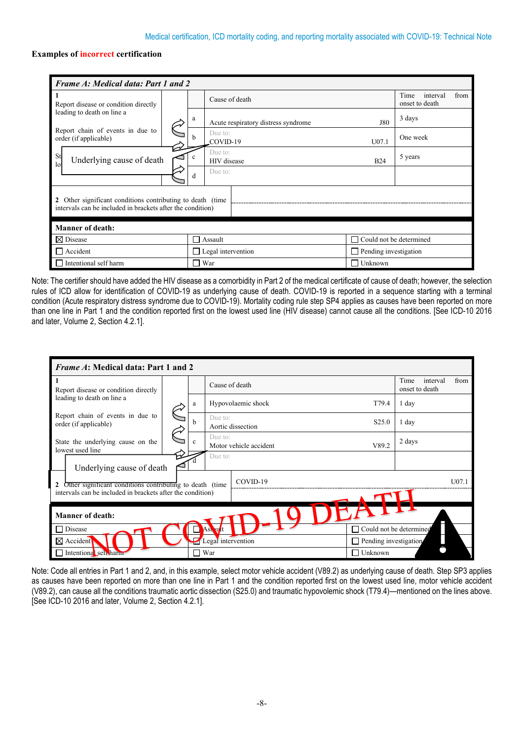## **Examples of incorrect certification**

| <b>Frame A: Medical data: Part 1 and 2</b>                 |  |                                             |                                     |                              |                                            |  |
|------------------------------------------------------------|--|---------------------------------------------|-------------------------------------|------------------------------|--------------------------------------------|--|
| 1<br>Report disease or condition directly                  |  |                                             | Cause of death                      |                              | Time<br>interval<br>from<br>onset to death |  |
| leading to death on line a                                 |  | a                                           | Acute respiratory distress syndrome | <b>J80</b>                   | 3 days                                     |  |
| Report chain of events in due to<br>order (if applicable)  |  | h                                           | Due to:<br>COVID-19                 | U07.1                        | One week                                   |  |
| St<br>Underlying cause of death<br>1 <sub>o</sub>          |  | Due to:<br><b>HIV</b> disease<br><b>B24</b> |                                     |                              | 5 years                                    |  |
|                                                            |  | d                                           | Due to:                             |                              |                                            |  |
| 2 Other significant conditions contributing to death (time |  |                                             |                                     |                              |                                            |  |
| intervals can be included in brackets after the condition) |  |                                             |                                     |                              |                                            |  |
| <b>Manner of death:</b>                                    |  |                                             |                                     |                              |                                            |  |
| $\boxtimes$ Disease<br>Assault                             |  |                                             |                                     | Could not be determined      |                                            |  |
| $\Box$ Accident                                            |  |                                             | $\Box$ Legal intervention           | $\Box$ Pending investigation |                                            |  |
| Intentional self harm<br>War                               |  |                                             |                                     | Unknown                      |                                            |  |

Note: The certifier should have added the HIV disease as a comorbidity in Part 2 of the medical certificate of cause of death; however, the selection rules of ICD allow for identification of COVID-19 as underlying cause of death. COVID-19 is reported in a sequence starting with a terminal condition (Acute respiratory distress syndrome due to COVID-19). Mortality coding rule step SP4 applies as causes have been reported on more than one line in Part 1 and the condition reported first on the lowest used line (HIV disease) cannot cause all the conditions. [See ICD-10 2016 and later, Volume 2, Section 4.2.1].

| <i>Frame A</i> : Medical data: Part 1 and 2                           |  |   |                              |                        |                              |                                            |
|-----------------------------------------------------------------------|--|---|------------------------------|------------------------|------------------------------|--------------------------------------------|
| Report disease or condition directly                                  |  |   |                              | Cause of death         |                              | Time<br>from<br>interval<br>onset to death |
| leading to death on line a                                            |  | a | Hypovolaemic shock           |                        |                              | 1 day                                      |
| Report chain of events in due to<br>order (if applicable)             |  | h | Due to:<br>Aortic dissection | S <sub>25.0</sub>      | 1 day                        |                                            |
| State the underlying cause on the<br>lowest used line                 |  |   | Due to:                      | Motor vehicle accident | V89.2                        | 2 days                                     |
| Due to:<br>Underlying cause of death                                  |  |   |                              |                        |                              |                                            |
| COVID-19<br>Other significant conditions contributing to death (time) |  |   |                              |                        |                              |                                            |
| intervals can be included in brackets after the condition)            |  |   |                              |                        |                              |                                            |
| <b>Manner of death:</b>                                               |  |   |                              |                        |                              |                                            |
| Disease                                                               |  |   | Ass ult                      |                        |                              | Could not be determined                    |
| $\boxtimes$ Accident                                                  |  |   |                              | Legal intervention     | $\Box$ Pending investigation |                                            |
| Intentional self harm                                                 |  |   | War                          |                        | Unknown                      |                                            |

Note: Code all entries in Part 1 and 2, and, in this example, select motor vehicle accident (V89.2) as underlying cause of death. Step SP3 applies as causes have been reported on more than one line in Part 1 and the condition reported first on the lowest used line, motor vehicle accident (V89.2), can cause all the conditions traumatic aortic dissection (S25.0) and traumatic hypovolemic shock (T79.4)—mentioned on the lines above. [See ICD-10 2016 and later, Volume 2, Section 4.2.1].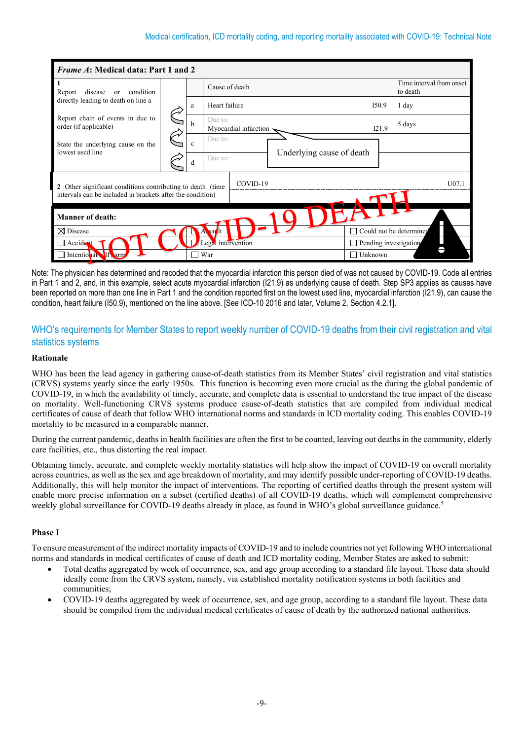| <i>Frame A:</i> Medical data: Part 1 and 2                                          |  |   |                                      |  |                              |         |       |                                      |  |  |  |
|-------------------------------------------------------------------------------------|--|---|--------------------------------------|--|------------------------------|---------|-------|--------------------------------------|--|--|--|
| condition<br>disease<br>Report<br>or                                                |  |   | Cause of death                       |  |                              |         |       | Time interval from onset<br>to death |  |  |  |
| directly leading to death on line a                                                 |  | a | Heart failure                        |  |                              | I50.9   |       | 1 day                                |  |  |  |
| Report chain of events in due to<br>order (if applicable)                           |  | h | Due to:<br>Myocardial infarction     |  |                              |         | I21.9 | 5 days                               |  |  |  |
| State the underlying cause on the<br>lowest used line                               |  |   |                                      |  | $\mathbf{c}$                 | Due to: |       |                                      |  |  |  |
|                                                                                     |  | d | Underlying cause of death<br>Due to: |  |                              |         |       |                                      |  |  |  |
| COVID-19<br>$U$ 07.1<br>2 Other significant conditions contributing to death (time) |  |   |                                      |  |                              |         |       |                                      |  |  |  |
| intervals can be included in brackets after the condition)                          |  |   |                                      |  |                              |         |       |                                      |  |  |  |
| <b>Manner of death:</b>                                                             |  |   |                                      |  |                              |         |       |                                      |  |  |  |
| $\boxtimes$ Disease                                                                 |  |   | <b>sat</b> It                        |  |                              |         |       | Could not be determined              |  |  |  |
| Accident                                                                            |  |   | Legal intervention                   |  | $\Box$ Pending investigation |         |       |                                      |  |  |  |
| Intentional If arm                                                                  |  |   | War                                  |  |                              | Unknown |       |                                      |  |  |  |

Note: The physician has determined and recoded that the myocardial infarction this person died of was not caused by COVID-19. Code all entries in Part 1 and 2, and, in this example, select acute myocardial infarction (I21.9) as underlying cause of death. Step SP3 applies as causes have been reported on more than one line in Part 1 and the condition reported first on the lowest used line, myocardial infarction (I21.9), can cause the condition, heart failure (I50.9), mentioned on the line above. [See ICD-10 2016 and later, Volume 2, Section 4.2.1].

# WHO's requirements for Member States to report weekly number of COVID-19 deaths from their civil registration and vital statistics systems

## **Rationale**

WHO has been the lead agency in gathering cause-of-death statistics from its Member States' civil registration and vital statistics (CRVS) systems yearly since the early 1950s. This function is becoming even more crucial as the during the global pandemic of COVID-19, in which the availability of timely, accurate, and complete data is essential to understand the true impact of the disease on mortality. Well-functioning CRVS systems produce cause-of-death statistics that are compiled from individual medical certificates of cause of death that follow WHO international norms and standards in ICD mortality coding. This enables COVID-19 mortality to be measured in a comparable manner.

During the current pandemic, deaths in health facilities are often the first to be counted, leaving out deaths in the community, elderly care facilities, etc., thus distorting the real impact.

Obtaining timely, accurate, and complete weekly mortality statistics will help show the impact of COVID-19 on overall mortality across countries, as well as the sex and age breakdown of mortality, and may identify possible under-reporting of COVID-19 deaths. Additionally, this will help monitor the impact of interventions. The reporting of certified deaths through the present system will enable more precise information on a subset (certified deaths) of all COVID-19 deaths, which will complement comprehensive weekly global surveillance for COVID-19 deaths already in place, as found in WHO's global surveillance guidance.<sup>5</sup>

## **Phase I**

To ensure measurement of the indirect mortality impacts of COVID-19 and to include countries not yet following WHO international norms and standards in medical certificates of cause of death and ICD mortality coding, Member States are asked to submit:

- Total deaths aggregated by week of occurrence, sex, and age group according to a standard file layout. These data should ideally come from the CRVS system, namely, via established mortality notification systems in both facilities and communities;
- COVID-19 deaths aggregated by week of occurrence, sex, and age group, according to a standard file layout. These data should be compiled from the individual medical certificates of cause of death by the authorized national authorities.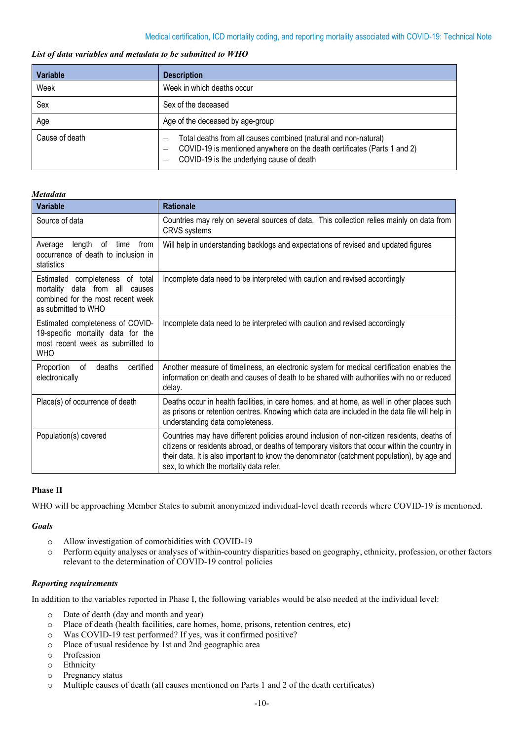## *List of data variables and metadata to be submitted to WHO*

| <b>Variable</b> | <b>Description</b>                                                                                                                                                                            |  |  |  |
|-----------------|-----------------------------------------------------------------------------------------------------------------------------------------------------------------------------------------------|--|--|--|
| Week            | Week in which deaths occur                                                                                                                                                                    |  |  |  |
| Sex             | Sex of the deceased                                                                                                                                                                           |  |  |  |
| Age             | Age of the deceased by age-group                                                                                                                                                              |  |  |  |
| Cause of death  | Total deaths from all causes combined (natural and non-natural)<br>COVID-19 is mentioned anywhere on the death certificates (Parts 1 and 2)<br>COVID-19 is the underlying cause of death<br>- |  |  |  |

## *Metadata*

| <b>Variable</b>                                                                                                               | <b>Rationale</b>                                                                                                                                                                                                                                                                                                                       |
|-------------------------------------------------------------------------------------------------------------------------------|----------------------------------------------------------------------------------------------------------------------------------------------------------------------------------------------------------------------------------------------------------------------------------------------------------------------------------------|
| Source of data                                                                                                                | Countries may rely on several sources of data. This collection relies mainly on data from<br><b>CRVS</b> systems                                                                                                                                                                                                                       |
| length<br>of<br>from<br>Average<br>time<br>occurrence of death to inclusion in<br>statistics                                  | Will help in understanding backlogs and expectations of revised and updated figures                                                                                                                                                                                                                                                    |
| Estimated completeness of total<br>mortality data from all causes<br>combined for the most recent week<br>as submitted to WHO | Incomplete data need to be interpreted with caution and revised accordingly                                                                                                                                                                                                                                                            |
| Estimated completeness of COVID-<br>19-specific mortality data for the<br>most recent week as submitted to<br><b>WHO</b>      | Incomplete data need to be interpreted with caution and revised accordingly                                                                                                                                                                                                                                                            |
| Proportion<br>certified<br>deaths<br>0f<br>electronically                                                                     | Another measure of timeliness, an electronic system for medical certification enables the<br>information on death and causes of death to be shared with authorities with no or reduced<br>delay.                                                                                                                                       |
| Place(s) of occurrence of death                                                                                               | Deaths occur in health facilities, in care homes, and at home, as well in other places such<br>as prisons or retention centres. Knowing which data are included in the data file will help in<br>understanding data completeness.                                                                                                      |
| Population(s) covered                                                                                                         | Countries may have different policies around inclusion of non-citizen residents, deaths of<br>citizens or residents abroad, or deaths of temporary visitors that occur within the country in<br>their data. It is also important to know the denominator (catchment population), by age and<br>sex, to which the mortality data refer. |

## **Phase II**

WHO will be approaching Member States to submit anonymized individual-level death records where COVID-19 is mentioned.

## *Goals*

- o Allow investigation of comorbidities with COVID-19
- o Perform equity analyses or analyses of within-country disparities based on geography, ethnicity, profession, or other factors relevant to the determination of COVID-19 control policies

## *Reporting requirements*

In addition to the variables reported in Phase I, the following variables would be also needed at the individual level:

- o Date of death (day and month and year)
- Place of death (health facilities, care homes, home, prisons, retention centres, etc)
- o Was COVID-19 test performed? If yes, was it confirmed positive?
- o Place of usual residence by 1st and 2nd geographic area
- o Profession
- 
- o Ethnicity<br>
o Pregnanc o Pregnancy status<br>
o Multiple causes o
- Multiple causes of death (all causes mentioned on Parts 1 and 2 of the death certificates)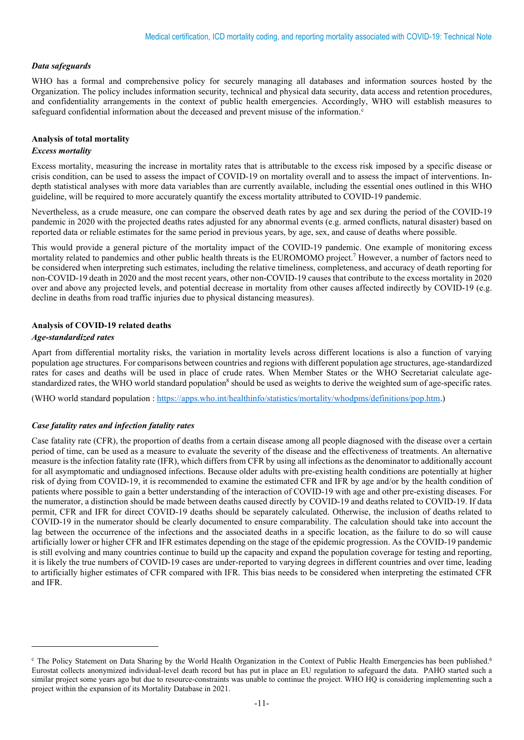## *Data safeguards*

WHO has a formal and comprehensive policy for securely managing all databases and information sources hosted by the Organization. The policy includes information security, technical and physical data security, data access and retention procedures, and confidentiality arrangements in the context of public health emergencies. Accordingly, WHO will establish measures to safeguard [c](#page-10-0)onfidential information about the deceased and prevent misuse of the information. $c$ 

## **Analysis of total mortality**

## *Excess mortality*

Excess mortality, measuring the increase in mortality rates that is attributable to the excess risk imposed by a specific disease or crisis condition, can be used to assess the impact of COVID-19 on mortality overall and to assess the impact of interventions. Indepth statistical analyses with more data variables than are currently available, including the essential ones outlined in this WHO guideline, will be required to more accurately quantify the excess mortality attributed to COVID-19 pandemic.

Nevertheless, as a crude measure, one can compare the observed death rates by age and sex during the period of the COVID-19 pandemic in 2020 with the projected deaths rates adjusted for any abnormal events (e.g. armed conflicts, natural disaster) based on reported data or reliable estimates for the same period in previous years, by age, sex, and cause of deaths where possible.

This would provide a general picture of the mortality impact of the COVID-19 pandemic. One example of monitoring excess mortality related to pandemics and other public health threats is the EUROMOMO project. <sup>7</sup> However, a number of factors need to be considered when interpreting such estimates, including the relative timeliness, completeness, and accuracy of death reporting for non-COVID-19 death in 2020 and the most recent years, other non-COVID-19 causes that contribute to the excess mortality in 2020 over and above any projected levels, and potential decrease in mortality from other causes affected indirectly by COVID-19 (e.g. decline in deaths from road traffic injuries due to physical distancing measures).

## **Analysis of COVID-19 related deaths**

## *Age-standardized rates*

Apart from differential mortality risks, the variation in mortality levels across different locations is also a function of varying population age structures. For comparisons between countries and regions with different population age structures, age-standardized rates for cases and deaths will be used in place of crude rates. When Member States or the WHO Secretariat calculate agestandardized rates, the WHO world standard population<sup>8</sup> should be used as weights to derive the weighted sum of age-specific rates.

(WHO world standard population [: https://apps.who.int/healthinfo/statistics/mortality/whodpms/definitions/pop.htm.](https://apps.who.int/healthinfo/statistics/mortality/whodpms/definitions/pop.htm))

## *Case fatality rates and infection fatality rates*

Case fatality rate (CFR), the proportion of deaths from a certain disease among all people diagnosed with the disease over a certain period of time, can be used as a measure to evaluate the severity of the disease and the effectiveness of treatments. An alternative measure is the infection fatality rate (IFR), which differs from CFR by using all infections as the denominator to additionally account for all asymptomatic and undiagnosed infections. Because older adults with pre-existing health conditions are potentially at higher risk of dying from COVID-19, it is recommended to examine the estimated CFR and IFR by age and/or by the health condition of patients where possible to gain a better understanding of the interaction of COVID-19 with age and other pre-existing diseases. For the numerator, a distinction should be made between deaths caused directly by COVID-19 and deaths related to COVID-19. If data permit, CFR and IFR for direct COVID-19 deaths should be separately calculated. Otherwise, the inclusion of deaths related to COVID-19 in the numerator should be clearly documented to ensure comparability. The calculation should take into account the lag between the occurrence of the infections and the associated deaths in a specific location, as the failure to do so will cause artificially lower or higher CFR and IFR estimates depending on the stage of the epidemic progression. As the COVID-19 pandemic is still evolving and many countries continue to build up the capacity and expand the population coverage for testing and reporting, it is likely the true numbers of COVID-19 cases are under-reported to varying degrees in different countries and over time, leading to artificially higher estimates of CFR compared with IFR. This bias needs to be considered when interpreting the estimated CFR and IFR.

<span id="page-10-0"></span> $c$  The Policy Statement on Data Sharing by the World Health Organization in the Context of Public Health Emergencies has been published.<sup>6</sup> Eurostat collects anonymized individual-level death record but has put in place an EU regulation to safeguard the data. PAHO started such a similar project some years ago but due to resource-constraints was unable to continue the project. WHO HQ is considering implementing such a project within the expansion of its Mortality Database in 2021.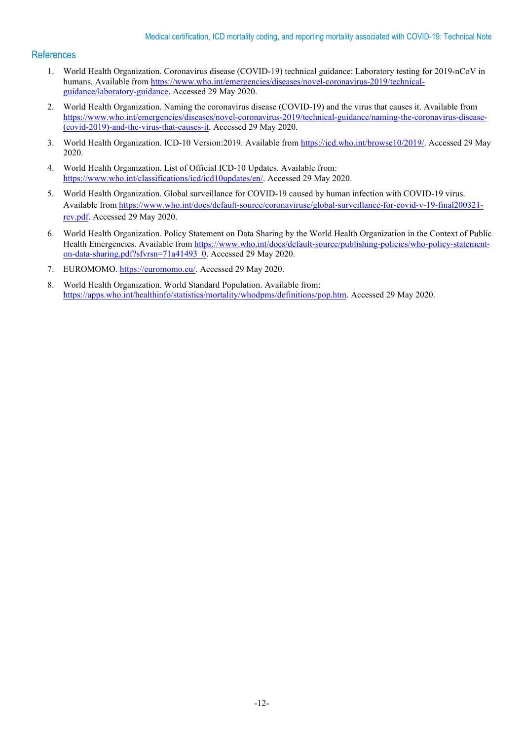## **References**

- 1. World Health Organization. Coronavirus disease (COVID-19) technical guidance: Laboratory testing for 2019-nCoV in humans. Available fro[m https://www.who.int/emergencies/diseases/novel-coronavirus-2019/technical](https://www.who.int/emergencies/diseases/novel-coronavirus-2019/technical-guidance/laboratory-guidance)[guidance/laboratory-guidance.](https://www.who.int/emergencies/diseases/novel-coronavirus-2019/technical-guidance/laboratory-guidance) Accessed 29 May 2020.
- 2. World Health Organization. Naming the coronavirus disease (COVID-19) and the virus that causes it. Available from [https://www.who.int/emergencies/diseases/novel-coronavirus-2019/technical-guidance/naming-the-coronavirus-disease-](https://www.who.int/emergencies/diseases/novel-coronavirus-2019/technical-guidance/naming-the-coronavirus-disease-(covid-2019)-and-the-virus-that-causes-it) [\(covid-2019\)-and-the-virus-that-causes-it.](https://www.who.int/emergencies/diseases/novel-coronavirus-2019/technical-guidance/naming-the-coronavirus-disease-(covid-2019)-and-the-virus-that-causes-it) Accessed 29 May 2020.
- 3. World Health Organization. ICD-10 Version:2019. Available from [https://icd.who.int/browse10/2019/.](https://icd.who.int/browse10/2019/) Accessed 29 May 2020.
- 4. World Health Organization. List of Official ICD-10 Updates. Available from: [https://www.who.int/classifications/icd/icd10updates/en/.](https://www.who.int/classifications/icd/icd10updates/en/) Accessed 29 May 2020.
- 5. World Health Organization. Global surveillance for COVID-19 caused by human infection with COVID-19 virus. Available from [https://www.who.int/docs/default-source/coronaviruse/global-surveillance-for-covid-v-19-final200321](https://www.who.int/docs/default-source/coronaviruse/global-surveillance-for-covid-v-19-final200321-rev.pdf) [rev.pdf.](https://www.who.int/docs/default-source/coronaviruse/global-surveillance-for-covid-v-19-final200321-rev.pdf) Accessed 29 May 2020.
- 6. World Health Organization. Policy Statement on Data Sharing by the World Health Organization in the Context of Public Health Emergencies. Available from [https://www.who.int/docs/default-source/publishing-policies/who-policy-statement](https://www.who.int/docs/default-source/publishing-policies/who-policy-statement-on-data-sharing.pdf?sfvrsn=71a41493_0)[on-data-sharing.pdf?sfvrsn=71a41493\\_0.](https://www.who.int/docs/default-source/publishing-policies/who-policy-statement-on-data-sharing.pdf?sfvrsn=71a41493_0) Accessed 29 May 2020.
- 7. EUROMOMO. [https://euromomo.eu/.](https://euromomo.eu/) Accessed 29 May 2020.
- 8. World Health Organization. World Standard Population. Available from: [https://apps.who.int/healthinfo/statistics/mortality/whodpms/definitions/pop.htm.](https://apps.who.int/healthinfo/statistics/mortality/whodpms/definitions/pop.htm) Accessed 29 May 2020.